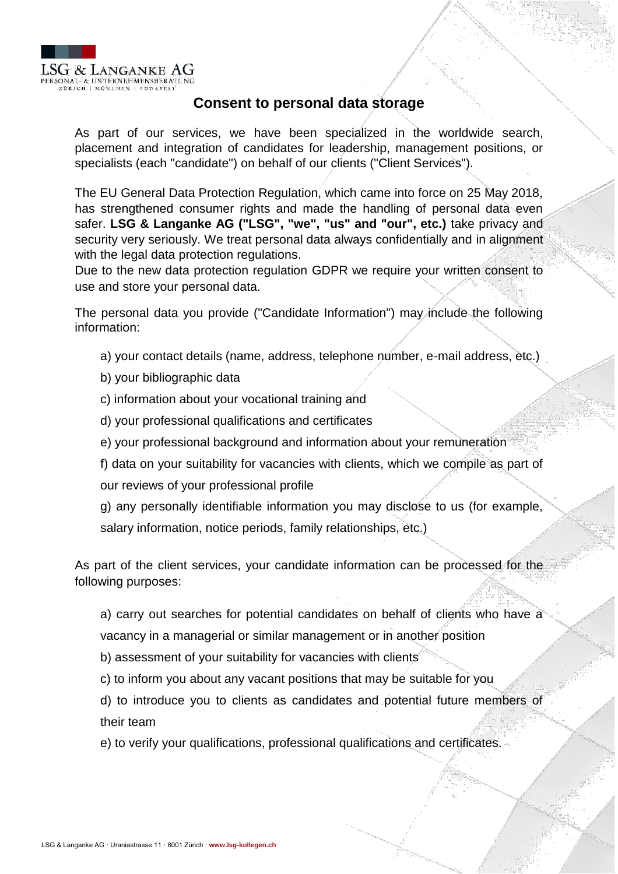

## **Consent to personal data storage**

As part of our services, we have been specialized in the worldwide search, placement and integration of candidates for leadership, management positions, or specialists (each "candidate") on behalf of our clients ("Client Services").

The EU General Data Protection Regulation, which came into force on 25 May 2018, has strengthened consumer rights and made the handling of personal data even safer. **LSG & Langanke AG ("LSG", "we", "us" and "our", etc.)** take privacy and security very seriously. We treat personal data always confidentially and in alignment with the legal data protection regulations.

Due to the new data protection regulation GDPR we require your written consent to use and store your personal data.

The personal data you provide ("Candidate Information") may include the following information:

- a) your contact details (name, address, telephone number, e-mail address, etc.)
- b) your bibliographic data
- c) information about your vocational training and
- d) your professional qualifications and certificates
- e) your professional background and information about your remuneration

f) data on your suitability for vacancies with clients, which we compile as part of our reviews of your professional profile

g) any personally identifiable information you may disclose to us (for example, salary information, notice periods, family relationships, etc.)

As part of the client services, your candidate information can be processed for the following purposes:

a) carry out searches for potential candidates on behalf of clients who have a

vacancy in a managerial or similar management or in another position

b) assessment of your suitability for vacancies with clients

c) to inform you about any vacant positions that may be suitable for you

d) to introduce you to clients as candidates and potential future members of their team

e) to verify your qualifications, professional qualifications and certificates.